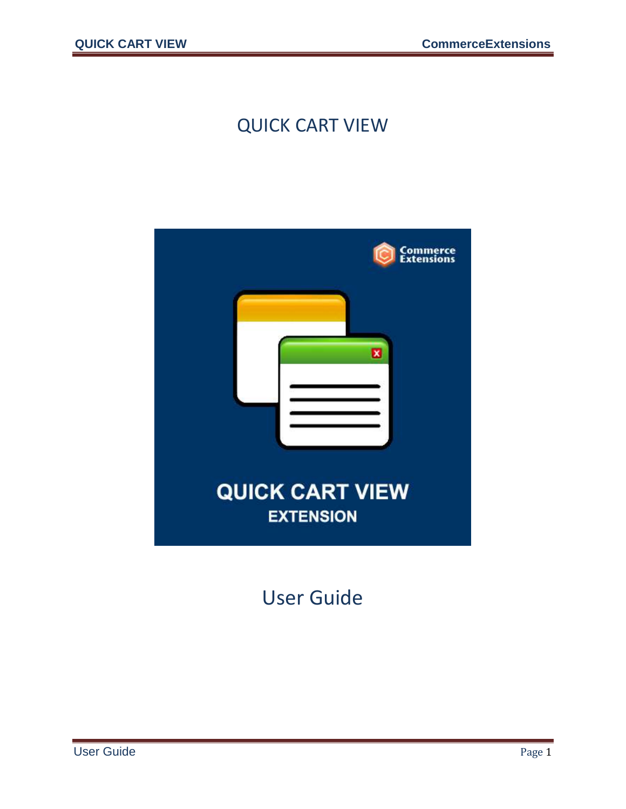#### QUICK CART VIEW



User Guide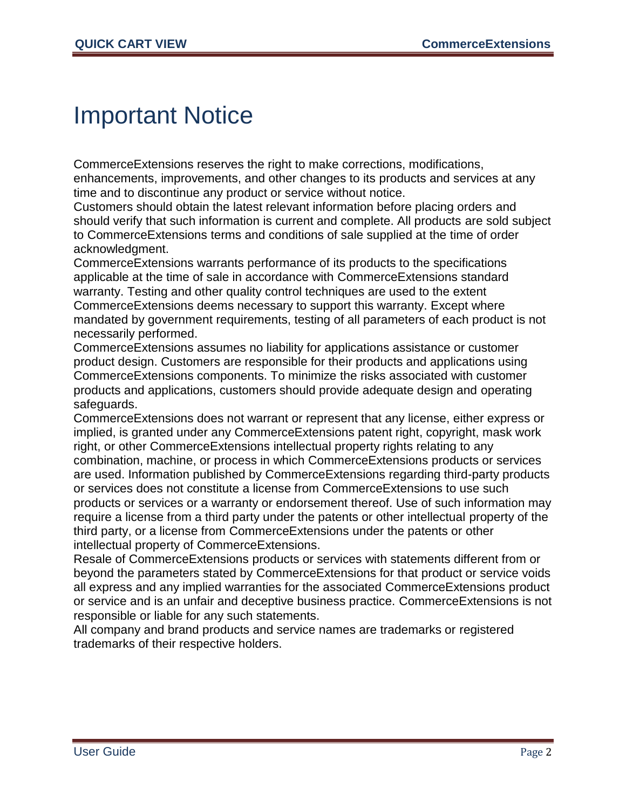### Important Notice

CommerceExtensions reserves the right to make corrections, modifications, enhancements, improvements, and other changes to its products and services at any time and to discontinue any product or service without notice.

Customers should obtain the latest relevant information before placing orders and should verify that such information is current and complete. All products are sold subject to CommerceExtensions terms and conditions of sale supplied at the time of order acknowledgment.

CommerceExtensions warrants performance of its products to the specifications applicable at the time of sale in accordance with CommerceExtensions standard warranty. Testing and other quality control techniques are used to the extent CommerceExtensions deems necessary to support this warranty. Except where mandated by government requirements, testing of all parameters of each product is not necessarily performed.

CommerceExtensions assumes no liability for applications assistance or customer product design. Customers are responsible for their products and applications using CommerceExtensions components. To minimize the risks associated with customer products and applications, customers should provide adequate design and operating safeguards.

CommerceExtensions does not warrant or represent that any license, either express or implied, is granted under any CommerceExtensions patent right, copyright, mask work right, or other CommerceExtensions intellectual property rights relating to any combination, machine, or process in which CommerceExtensions products or services are used. Information published by CommerceExtensions regarding third-party products or services does not constitute a license from CommerceExtensions to use such products or services or a warranty or endorsement thereof. Use of such information may require a license from a third party under the patents or other intellectual property of the third party, or a license from CommerceExtensions under the patents or other intellectual property of CommerceExtensions.

Resale of CommerceExtensions products or services with statements different from or beyond the parameters stated by CommerceExtensions for that product or service voids all express and any implied warranties for the associated CommerceExtensions product or service and is an unfair and deceptive business practice. CommerceExtensions is not responsible or liable for any such statements.

All company and brand products and service names are trademarks or registered trademarks of their respective holders.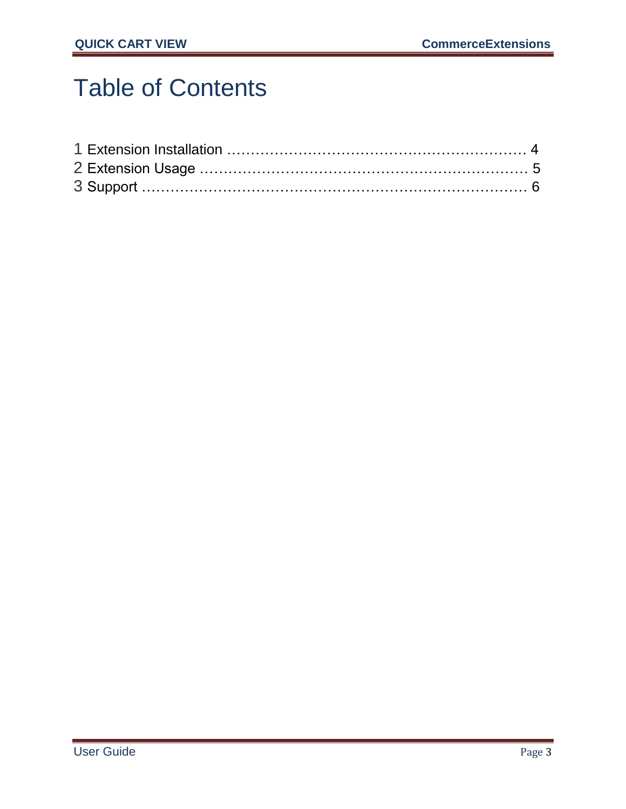## Table of Contents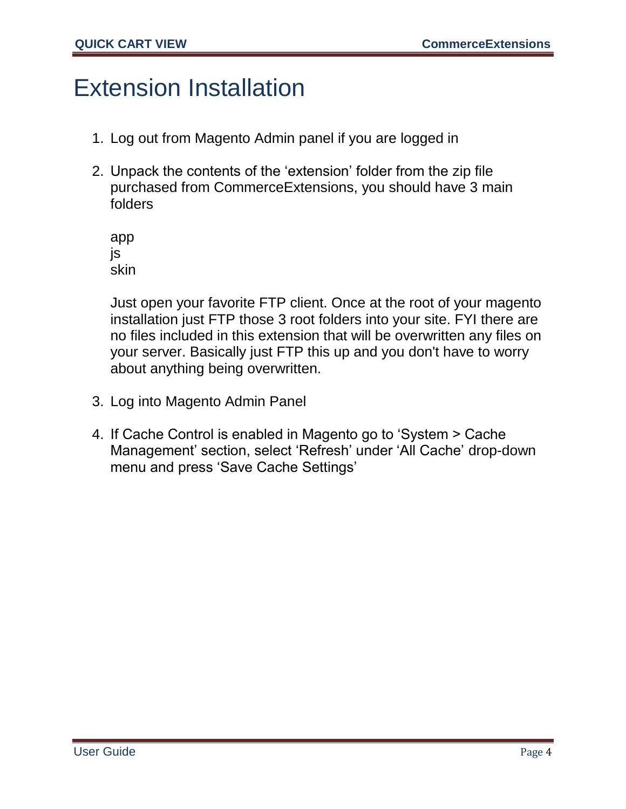### Extension Installation

- 1. Log out from Magento Admin panel if you are logged in
- 2. Unpack the contents of the 'extension' folder from the zip file purchased from CommerceExtensions, you should have 3 main folders

app js skin

Just open your favorite FTP client. Once at the root of your magento installation just FTP those 3 root folders into your site. FYI there are no files included in this extension that will be overwritten any files on your server. Basically just FTP this up and you don't have to worry about anything being overwritten.

- 3. Log into Magento Admin Panel
- 4. If Cache Control is enabled in Magento go to 'System > Cache Management' section, select 'Refresh' under 'All Cache' drop-down menu and press 'Save Cache Settings'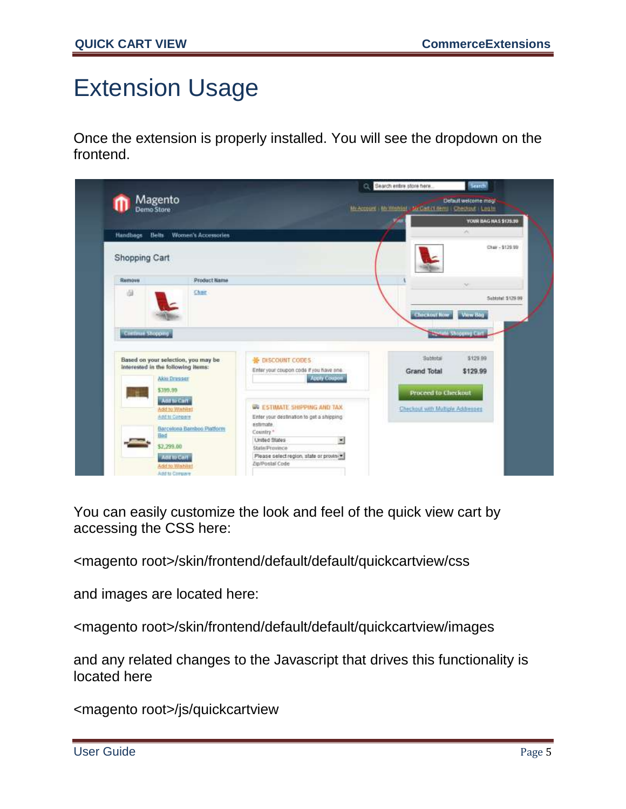### Extension Usage

Once the extension is properly installed. You will see the dropdown on the frontend.

| Magento<br>Demo Store              |                                     |                                                            | My Account I My Wishlet - Mr Cart of Nemu   Checking   Log In |                             |
|------------------------------------|-------------------------------------|------------------------------------------------------------|---------------------------------------------------------------|-----------------------------|
|                                    |                                     |                                                            | V.                                                            | YOUR BAG HAS \$125.99       |
| Handbags Belts                     | Women's Accessories                 |                                                            |                                                               | $\sim$                      |
| Shopping Cart                      |                                     |                                                            |                                                               | Chair - \$129.99            |
| Remove                             | <b>Product Kame</b>                 |                                                            |                                                               |                             |
| 面                                  | Char                                |                                                            |                                                               | Sabbotat: \$129.99          |
|                                    |                                     |                                                            |                                                               |                             |
|                                    |                                     |                                                            | <b>Checkout how</b>                                           | <b>View Bag</b>             |
|                                    |                                     |                                                            |                                                               |                             |
| Continue Shopping                  |                                     |                                                            |                                                               | <b>Senate Shopping Cart</b> |
|                                    |                                     |                                                            |                                                               |                             |
|                                    | Based on your selection, you may be | <b>M</b> DISCOUNT CODES                                    | Subbotali                                                     | \$129.99                    |
|                                    |                                     | Enter your coupon code if you have one.                    | Grand Total                                                   | \$129.99                    |
|                                    | Akio Dressor                        | <b>Atery Cooper</b>                                        |                                                               |                             |
| \$399.90                           |                                     |                                                            | Proceed to Checkout                                           |                             |
|                                    | Anthr Cart<br>Add to Wintern        | WA ESTIMATE SHIPPING AND TAX                               | Checkout with Multiple Addressed                              |                             |
|                                    | And to Congare                      | Enter your destination to get a shipping                   |                                                               |                             |
| Interested in the following items: | Barcelona Bamboo Platform           | estimate                                                   |                                                               |                             |
| Bed                                |                                     | Country *<br>ョ<br>United States                            |                                                               |                             |
|                                    | \$2,299.00                          | State/Province                                             |                                                               |                             |
|                                    | Add to Cart<br>Add to Wishliet      | Please select region, state or province<br>Zip/Postal Code |                                                               |                             |

You can easily customize the look and feel of the quick view cart by accessing the CSS here:

<magento root>/skin/frontend/default/default/quickcartview/css

and images are located here:

<magento root>/skin/frontend/default/default/quickcartview/images

and any related changes to the Javascript that drives this functionality is located here

<magento root>/js/quickcartview